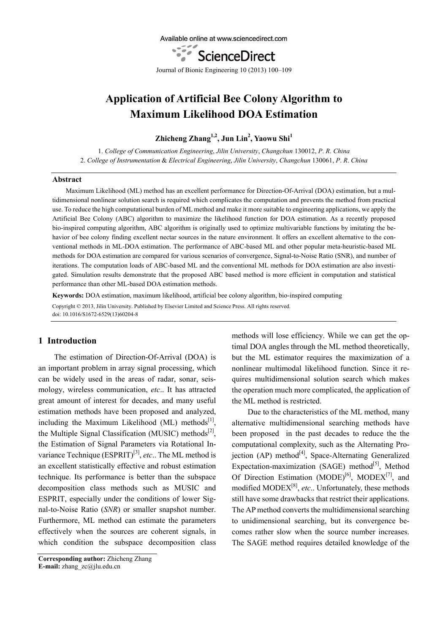Available online at www.sciencedirect.com



Journal of Bionic Engineering 10 (2013) 100–109

## **Application of Artificial Bee Colony Algorithm to Maximum Likelihood DOA Estimation**

**Zhicheng Zhang1,2, Jun Lin2 , Yaowu Shi<sup>1</sup>**

1. *College of Communication Engineering*, *Jilin University*, *Changchun* 130012, *P*. *R*. *China*  2. *College of Instrumentation* & *Electrical Engineering*, *Jilin University*, *Changchun* 130061, *P*. *R*. *China*

#### **Abstract**

Maximum Likelihood (ML) method has an excellent performance for Direction-Of-Arrival (DOA) estimation, but a multidimensional nonlinear solution search is required which complicates the computation and prevents the method from practical use. To reduce the high computational burden of ML method and make it more suitable to engineering applications, we apply the Artificial Bee Colony (ABC) algorithm to maximize the likelihood function for DOA estimation. As a recently proposed bio-inspired computing algorithm, ABC algorithm is originally used to optimize multivariable functions by imitating the behavior of bee colony finding excellent nectar sources in the nature environment. It offers an excellent alternative to the conventional methods in ML-DOA estimation. The performance of ABC-based ML and other popular meta-heuristic-based ML methods for DOA estimation are compared for various scenarios of convergence, Signal-to-Noise Ratio (SNR), and number of iterations. The computation loads of ABC-based ML and the conventional ML methods for DOA estimation are also investigated. Simulation results demonstrate that the proposed ABC based method is more efficient in computation and statistical performance than other ML-based DOA estimation methods.

**Keywords:** DOA estimation, maximum likelihood, artificial bee colony algorithm, bio-inspired computing

Copyright © 2013, Jilin University. Published by Elsevier Limited and Science Press. All rights reserved. doi: 10.1016/S1672-6529(13)60204-8

### **1 Introduction**

The estimation of Direction-Of-Arrival (DOA) is an important problem in array signal processing, which can be widely used in the areas of radar, sonar, seismology, wireless communication, *etc*.. It has attracted great amount of interest for decades, and many useful estimation methods have been proposed and analyzed, including the Maximum Likelihood (ML) methods $\langle$ <sup>[1]</sup>, the Multiple Signal Classification (MUSIC) methods<sup>[2]</sup>, the Estimation of Signal Parameters via Rotational Invariance Technique (ESPRIT)<sup>[3]</sup>, *etc.*. The ML method is an excellent statistically effective and robust estimation technique. Its performance is better than the subspace decomposition class methods such as MUSIC and ESPRIT, especially under the conditions of lower Signal-to-Noise Ratio (*SNR*) or smaller snapshot number. Furthermore, ML method can estimate the parameters effectively when the sources are coherent signals, in which condition the subspace decomposition class methods will lose efficiency. While we can get the optimal DOA angles through the ML method theoretically, but the ML estimator requires the maximization of a nonlinear multimodal likelihood function. Since it requires multidimensional solution search which makes the operation much more complicated, the application of the ML method is restricted.

Due to the characteristics of the ML method, many alternative multidimensional searching methods have been proposed in the past decades to reduce the the computational complexity, such as the Alternating Projection  $(AP)$  method<sup>[4]</sup>, Space-Alternating Generalized Expectation-maximization (SAGE) method<sup>[5]</sup>, Method Of Direction Estimation  $(MODE)^{[6]}$ ,  $MODEX^{[7]}$ , and modified MODEX[8], *etc*.. Unfortunately, these methods still have some drawbacks that restrict their applications. The AP method converts the multidimensional searching to unidimensional searching, but its convergence becomes rather slow when the source number increases. The SAGE method requires detailed knowledge of the

**Corresponding author:** Zhicheng Zhang **E-mail:** zhang\_zc@jlu.edu.cn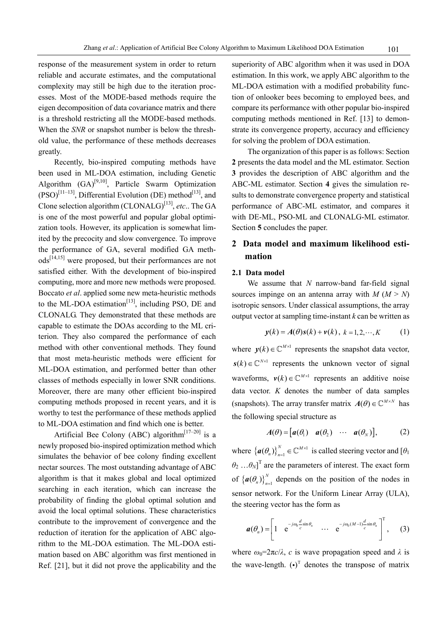response of the measurement system in order to return reliable and accurate estimates, and the computational complexity may still be high due to the iteration processes. Most of the MODE-based methods require the eigen decomposition of data covariance matrix and there is a threshold restricting all the MODE-based methods. When the *SNR* or snapshot number is below the threshold value, the performance of these methods decreases greatly.

Recently, bio-inspired computing methods have been used in ML-DOA estimation, including Genetic Algorithm  $(GA)^{[9,10]}$ , Particle Swarm Optimization  $(PSO)^{[11-13]}$ , Differential Evolution (DE) method<sup>[13]</sup>, and Clone selection algorithm  $(CLONALG)^{[13]}$ , *etc.*. The GA is one of the most powerful and popular global optimization tools. However, its application is somewhat limited by the precocity and slow convergence. To improve the performance of GA, several modified GA methods[14,15] were proposed, but their performances are not satisfied either. With the development of bio-inspired computing, more and more new methods were proposed. Boccato *et al*. applied some new meta-heuristic methods to the ML-DOA estimation $^{[13]}$ , including PSO, DE and CLONALG. They demonstrated that these methods are capable to estimate the DOAs according to the ML criterion. They also compared the performance of each method with other conventional methods. They found that most meta-heuristic methods were efficient for ML-DOA estimation, and performed better than other classes of methods especially in lower SNR conditions. Moreover, there are many other efficient bio-inspired computing methods proposed in recent years, and it is worthy to test the performance of these methods applied to ML-DOA estimation and find which one is better.

Artificial Bee Colony (ABC) algorithm<sup>[17–20]</sup> is a newly proposed bio-inspired optimization method which simulates the behavior of bee colony finding excellent nectar sources. The most outstanding advantage of ABC algorithm is that it makes global and local optimized searching in each iteration, which can increase the probability of finding the global optimal solution and avoid the local optimal solutions. These characteristics contribute to the improvement of convergence and the reduction of iteration for the application of ABC algorithm to the ML-DOA estimation. The ML-DOA estimation based on ABC algorithm was first mentioned in Ref. [21], but it did not prove the applicability and the superiority of ABC algorithm when it was used in DOA estimation. In this work, we apply ABC algorithm to the ML-DOA estimation with a modified probability function of onlooker bees becoming to employed bees, and compare its performance with other popular bio-inspired computing methods mentioned in Ref. [13] to demonstrate its convergence property, accuracy and efficiency for solving the problem of DOA estimation.

The organization of this paper is as follows: Section **2** presents the data model and the ML estimator. Section **3** provides the description of ABC algorithm and the ABC-ML estimator. Section **4** gives the simulation results to demonstrate convergence property and statistical performance of ABC-ML estimator, and compares it with DE-ML, PSO-ML and CLONALG-ML estimator. Section **5** concludes the paper.

## **2 Data model and maximum likelihood estimation**

### **2.1 Data model**

We assume that *N* narrow-band far-field signal sources impinge on an antenna array with  $M (M > N)$ isotropic sensors. Under classical assumptions, the array output vector at sampling time-instant *k* can be written as

$$
y(k) = A(\theta)s(k) + v(k), k = 1, 2, \dots, K
$$
 (1)

where  $y(k) \in \mathbb{C}^{M \times 1}$  represents the snapshot data vector,  $s(k) \in \mathbb{C}^{N \times 1}$  represents the unknown vector of signal waveforms,  $v(k) \in \mathbb{C}^{M \times 1}$  represents an additive noise data vector. *K* denotes the number of data samples (snapshots). The array transfer matrix  $A(\theta) \in \mathbb{C}^{M \times N}$  has the following special structure as

$$
A(\theta) = [a(\theta_1) \quad a(\theta_2) \quad \cdots \quad a(\theta_N)], \tag{2}
$$

where  ${a(\theta_n)}_{n=1}^N \in \mathbb{C}^{M \times 1}$  is called steering vector and  $[\theta_1]$  $\theta_2$  ... $\theta_N$ <sup>T</sup> are the parameters of interest. The exact form of  ${ \{ \boldsymbol{a}(\theta_n) \}}_{n=1}^N$  depends on the position of the nodes in sensor network. For the Uniform Linear Array (ULA), the steering vector has the form as

$$
\boldsymbol{a}(\theta_n) = \begin{bmatrix} 1 & e^{-j\omega_0 \frac{d}{c} \sin \theta_n} & \cdots & e^{-j\omega_0 (M-1) \frac{d}{c} \sin \theta_n} \end{bmatrix}^\mathrm{T}, \qquad (3)
$$

where  $\omega_0 = 2\pi c/\lambda$ , *c* is wave propagation speed and  $\lambda$  is the wave-length.  $(\cdot)^T$  denotes the transpose of matrix